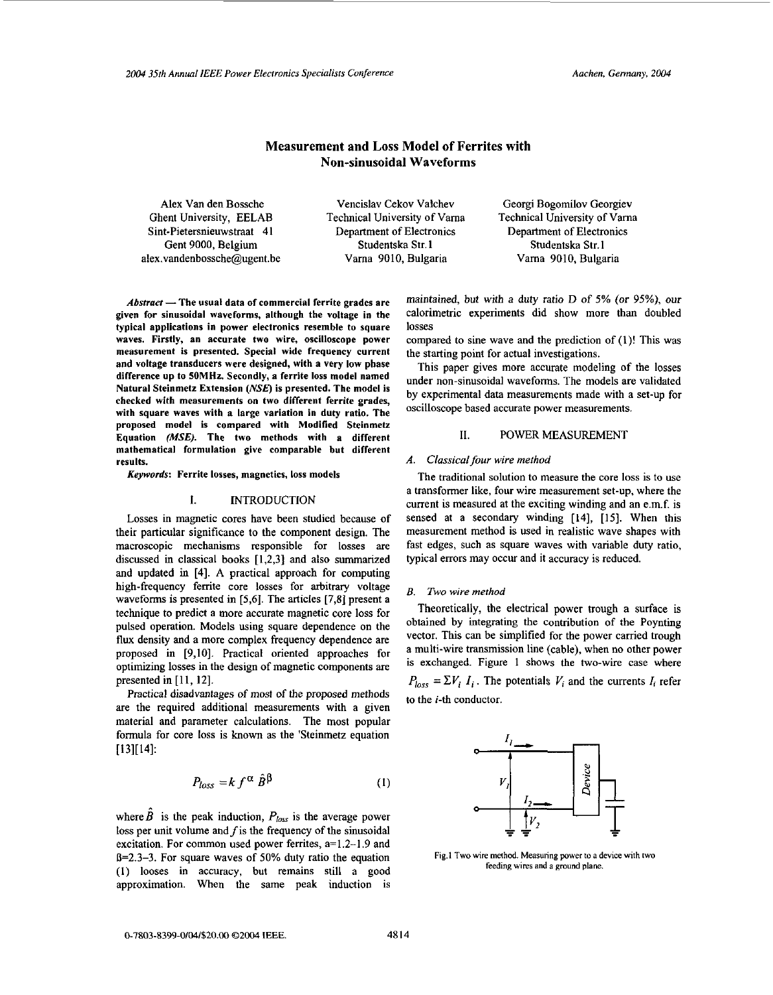# **Measurement and Loss Model of Ferrites with Non-sinusoidal Waveforms**

Ghent University, EELAB Technical University of Varna Sint-Pietersnieuwstraat 4 1 Department of Electronics Department of Electronics Gent 9000, Belgium Studentska Str. **1** Studentska Str.1 **alex.vandenbossche@ugent.be** Vama 9010, Bulgaria Vama 9010, Bulgaria

Alex Van den Bossche Vencislav Cekov Vaichev Georgi Bogomilov Georgiev Technical University of Varna

*Abstract* — The usual data of commercial ferrite grades are given for sinusoidal waveforms, although the voltage in the typical applications in power electronics resemble to square waves. Firstly, an accurate two wire, oscilloscope power measurement is presented. Special wide frequency current and voltage transducers were designed, with a very low phase difference up to **5OMHz.** Secondly, a ferrite loss model named Natural Steinmetz Extension *(NSEJ* is presented. The model is checked with measurements on two different ferrite grades, with square waves with a large variation in duty ratio. The proposed model is compared with Modified Steinmetz Equation *(MSE).* The two methods with a different mathematical formulation give comparable but different results.

*Keywords:* Ferrite losses, magnetics, **loss** models

### I. INTRODUCTION

Losses in magnetic cores have been studied because of their particular significance to the component design. The macroscopic mechanisms responsible for losses are discussed in classical books [1,2,3] and also summarized and updated in [4]. **A** practical approach for computing high-frequency ferrite core losses for arbitrary voltage waveforms is presented in [5,6]. The articles [7,8] present a technique to predict a more accurate magnetic core loss for pulsed operation. Models using square dependence on the **flux** density and a more complex frequency dependence are proposed in [9,10]. Practical oriented approaches for optimizing losses in the design of magnetic components are presented in [ll, 121.

Practical disadvantages **of** most of the proposed methods are the required additional measurements with a given material and parameter calculations. The most popular formula for core **loss** is known as the 'Steinmetz equation  $[13][14]$ :

$$
P_{loss} = k f^{\alpha} \hat{B}^{\beta} \tag{1}
$$

where  $\hat{B}$  is the peak induction,  $P_{loss}$  is the average power loss per unit volume and  $f$  is the frequency of the sinusoidal excitation. For common used power ferrites, a=1.2-1.9 and  $B=2.3-3$ . For square waves of 50% duty ratio the equation (1) looses in accuracy, but remains still a good approximation. When the same peak induction is maintained, but with a duty ratio D of *5%* (or 95%), our calorimetric experiments did show more than doubled losses

compared to sine wave and the prediction of (I)! This was the starting point for actual investigations.

This paper gives more accurate modeling of the losses under non-sinusoidal waveforms. The models are validated by experimental data measurements made with a set-up for oscilloscope based accurate power measurements.

## **11.** POWER MEASUREMENT

## A. Classical four wire method

The traditional solution to measure the core loss is to use a transformer like, four wire measurement set-up, where the current is measured at the exciting winding and an e.m.f. is sensed at a secondary winding [14], [IS]. When this measurement method is used in realistic wave shapes with fast edges, such as square waves with variable duty ratio, typical errors may occur and it accuracy is reduced.

## *B.* Two wire method

Theoretically, the electrical power trough a surface is obtained by integrating the contribution of the Poynting vector. This can be simplified for the power carried trough a multi-wire transmission line (cable), when no other power is exchanged. Figure **1** shows the two-wire case where  $P_{loss} = \sum V_i I_i$ . The potentials  $V_i$  and the currents  $I_i$  refer to the i-th conductor.



**Fig.1 Two wire method. Measuring power to a device with two feeding wires and a ground plane.**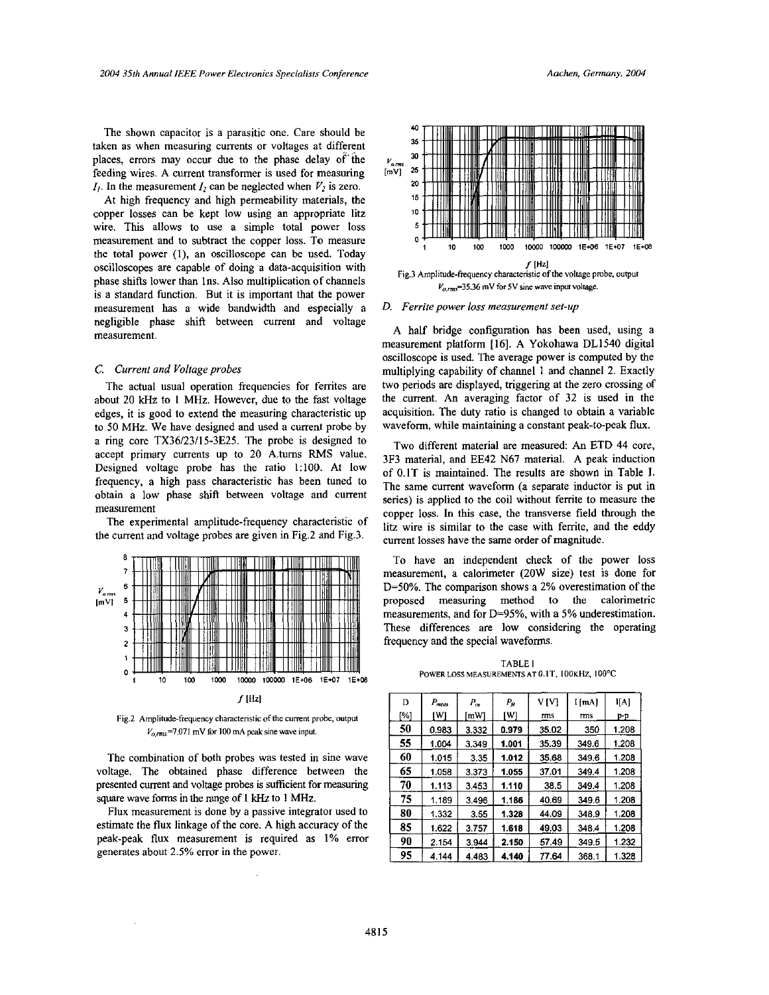The shown capacitor is a parasitic one. Care should be taken as when measuring currents or voltages at different places, errors may occur due to the phase delay of'the feeding wires. A current transformer is used for measuring  $I_1$ . In the measurement  $I_2$  can be neglected when  $V_2$  is zero.

At high frequency and high permeability materials, the copper losses can be kept low using an appropriate litz wire. This allows to use a simple total power loss measurement and to subtract the copper loss. To measure the total power **(I),** an oscilloscope can be used. Today oscilloscopes are capable of doing a data-acquisition with phase shifts lower than Ins. Also multiplication of channels is a standard function. But it is important that the power measurement has a wide bandwidth and especially a negligible phase shifi between current and voltage measurement.

### **C.** *Current and Voltage probes*

The actual usual operation frequencies for ferrites are ahout 20 kHz to I **MHz.** However, due to the fast voltage edges, it is good to extend the measuring characteristic up to 50 MHz. We have designed and used **a** current probe by a ring core TX36/23/15-3E25. The probe is designed to accept primary currents up to 20 A.tums **RMS** value. Designed voltage probe has the ratio 1:lOO. At low frequency, a high pass characteristic has been tuned to obtain a low phase shift between voltage and current measurement

The experimental amplitude-frequency characteristic of the current and voltage probes are given in Fig.2 and Fig.3.



Fig.2 Amplitude-frequency characteristic of the current probe, output  $V_{0,rms}$ =7.071 mV for 100 mA peak sine wave input.

The combination of both probes was tested in sine wave voltage. The obtained phase difference between the presented current and voltage probes is sufficient for measuring **square** wave forms in the range of **1** kHz to 1 **MHz.** 

Flux measurement is done by a passive integrator used to estimate the flux linkage of the core. A high accuracy of the peak-peak flux measurement is required as **1%** error generates ahout 2.5% error in the power.



#### *D. Ferrite power loss measurement set-up*

**A** half bridge configuration has been used, using a measurement platform [16]. A Yokohawa DL1540 digital oscilloscope is used. The average power is computed by the multiplying capability of channel 1 and channel 2. Exactly two periods are displayed, triggering at the zero crossing of the current. An averaging factor **of** 32 is used in the acquisition. The duty ratio is changed to obtain a variable waveform, while maintaining a constant peak-to-peak flux.

Two different material are measured: An ETD 44 core, 3F3 material, and EE42 **N67** material. A peak induction of 0.1T is maintained. The results are shown in Table **I.**  The same current waveform **(a** separate inductor is put in series) is applied to the coil without ferrite to measure the copper **loss.** In this case, the transverse field through the litz wire is similar to the case with ferrite, and the eddy current losses have the same order of magnitude.

To have an independent check of the power loss measurement, a calorimeter (20W size) test is done for D=50%. The comparison shows a 2% overestimation of the proposed measuring method to the calorimetric measurements, and for D=95%, with a 5% underestimation. These differences are low considering the operating frequency and the special waveforms.

**TABLE** I **POWER LOSS MEASUREMENTSAT** O.IT, **IOOKHZ, IOOT** 

| D   | $P_{meas}$ | $P_{cu}$ | Pę    | VM    | I [mA] | I[A]  |
|-----|------------|----------|-------|-------|--------|-------|
| [%] | ſW         | [mW]     | ſW    | rms   | mns    | p-p   |
| 50  | 0.983      | 3.332    | 0.979 | 35.02 | 350    | 1.208 |
| 55  | 1.004      | 3.349    | 1.001 | 35.39 | 349.6  | 1.208 |
| 60  | 1.015      | 3.35     | 1.012 | 35.68 | 349.6  | 1.208 |
| 65  | 1.058      | 3.373    | 1.055 | 37.01 | 349.4  | 1.208 |
| 70  | 1.113      | 3.453    | 1.110 | 38.5  | 349.4  | 1.208 |
| 75  | 1.189      | 3.496    | 1.186 | 40.69 | 349.6  | 1.208 |
| 80  | 1.332      | 3.55     | 1.328 | 44.09 | 348.9  | 1.208 |
| 85  | 1.622      | 3.757    | 1.618 | 49.03 | 348.4  | 1.208 |
| 90  | 2.154      | 3.944    | 2.150 | 57.49 | 349.5  | 1.232 |
| 95  | 4.144      | 4.483    | 4.140 | 77.64 | 368.1  | 1.328 |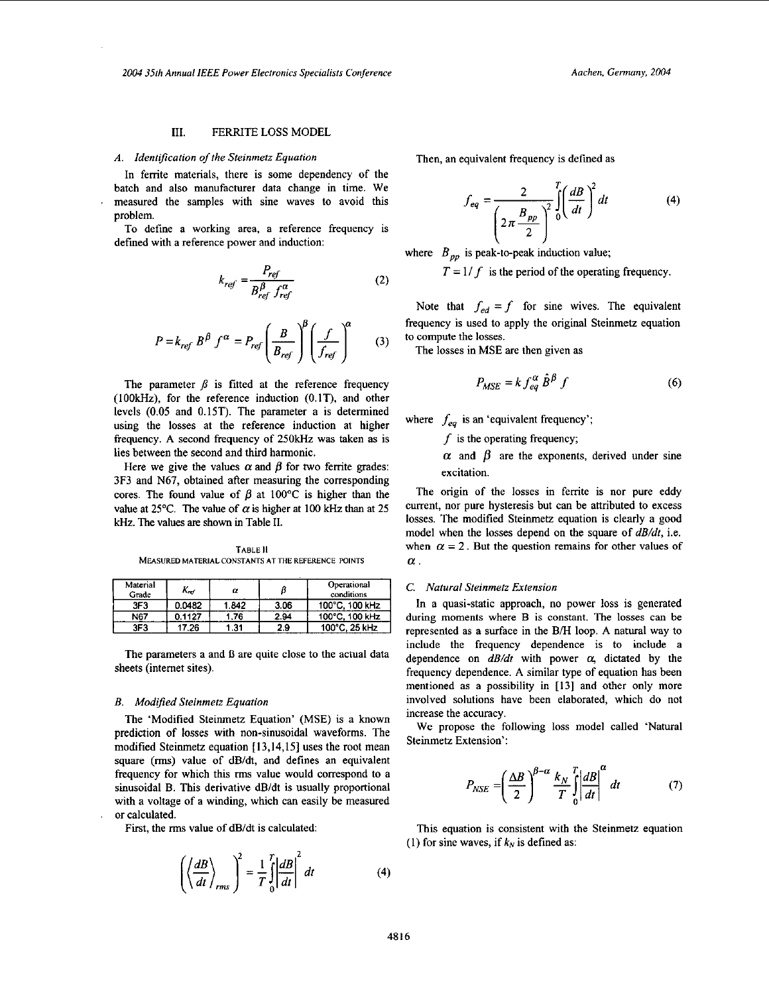## **111.** FERRITE LOSS MODEL

# *A. Identification of the Steinmetz Equation*

In ferrite materials, there is some dependency of the batch and also manufacturer data change in time. We measured the samples with sine waves to avoid this problem.

To define a working area, a reference frequency is defmed with a reference power and induction:

$$
k_{ref} = \frac{P_{ref}}{B_{ref}^{\beta} f_{ref}^{\alpha}}
$$
 (2)

$$
P = k_{ref} B^{\beta} f^{\alpha} = P_{ref} \left(\frac{B}{B_{ref}}\right)^{\beta} \left(\frac{f}{f_{ref}}\right)^{\alpha} \tag{3}
$$

The parameter  $\beta$  is fitted at the reference frequency **(IOOkKz),** for the reference induction (O.IT), and other levels (0.05 and 0.15T). The parameter a is determined using the losses at the reference induction at higher frequency. A second frequency of **250kHz** was taken as is lies between the second and third harmonic.

Here we give the values  $\alpha$  and  $\beta$  for two ferrite grades: 3F3 and N67, obtained after measuring the corresponding cores. The found value of  $\beta$  at 100°C is higher than the value at 25°C. The value of  $\alpha$  is higher at 100 kHz than at 25 kHz. The values are shown in Table II.

**TABLE** II **MEASURED MATERIAL CONSTAWS AT THE REFERENCE POINTS** 

| Material<br>Grade | Kref   | α     |      | Operational<br>conditions |
|-------------------|--------|-------|------|---------------------------|
| 3F3               | 0.0482 | 1.842 | 3.06 | 100°C, 100 kHz            |
| N67               | 0.1127 | 1.76  | 2.94 | 100°C, 100 kHz            |
| 3F3               | 17.26  | 1.31  | 2.9  | 100°C, 25 kHz             |

The parameters a and B are quite close to the actual data sheets (internet sites).

## *B. Modified Steinmetz Equation*

The 'Modified Steinmetz Equation' (MSE) is a known prediction of losses with non-sinusoidal waveforms. The modified Steinmetz equation [13,14,15] uses the root mean square (rms) value of dB/dt, and defines an equivalent frequency for which this rms value would correspond to a sinusoidal B. This derivative dB/dt is usually proportional with a voltage of a winding, which can easily be measured or calculated.

First, the rms value of dB/dt is calculated:

$$
\left(\left\langle \frac{dB}{dt} \right\rangle_{rms} \right)^2 = \frac{1}{T} \int_0^T \left| \frac{dB}{dt} \right|^2 dt \tag{4}
$$

Then, an equivalent frequency is defined as

$$
f_{eq} = \frac{2}{\left(2\pi \frac{B_{pp}}{2}\right)^2} \int_0^T \left(\frac{dB}{dt}\right)^2 dt
$$
 (4)

where  $B_{pp}$  is peak-to-peak induction value;

 $T = 1/f$  is the period of the operating frequency.

Note that  $f_{ed} = f$  for sine wives. The equivalent frequency is used to apply the original Steinmetz equation to compute the losses.

The losses in MSE are then given as

$$
P_{MSE} = k f_{eq}^{\alpha} \hat{B}^{\beta} f \tag{6}
$$

where  $f_{eq}$  is an 'equivalent frequency';

*f* is the operating frequency;

 $\alpha$  and  $\beta$  are the exponents, derived under sine excitation.

The origin of the losses in ferrite is nor pure eddy current, nor pure hysteresis but can be attributed to excess losses. The modified Steinmetz equation is clearly a good model when the losses depend **on** the square of *dB/dt,* i.e. when  $\alpha = 2$ . But the question remains for other values of  $\alpha$  .

#### *C. Natural Steinmetz Extension*

In a quasi-static approach, no power loss is generated during moments where B is constant. The losses can be represented as a surface in the B/H loop. A natural way to include the frequency dependence is to include a dependence on  $dB/dt$  with power  $\alpha$ , dictated by the frequency dependence. A similar type of equation has been mentioned as a possibility in **[I31** and other only more involved solutions have been elaborated, which do not increase the accuracy.

We propose the following loss model called 'Natural Steinmetz Extension':

$$
P_{NSE} = \left(\frac{\Delta B}{2}\right)^{\beta-\alpha} \frac{k_N}{T} \int_{0}^{T} \left|\frac{dB}{dt}\right|^{\alpha} dt \tag{7}
$$

This equation is consistent with the Steinmetz equation (1) for sine waves, if  $k_N$  is defined as: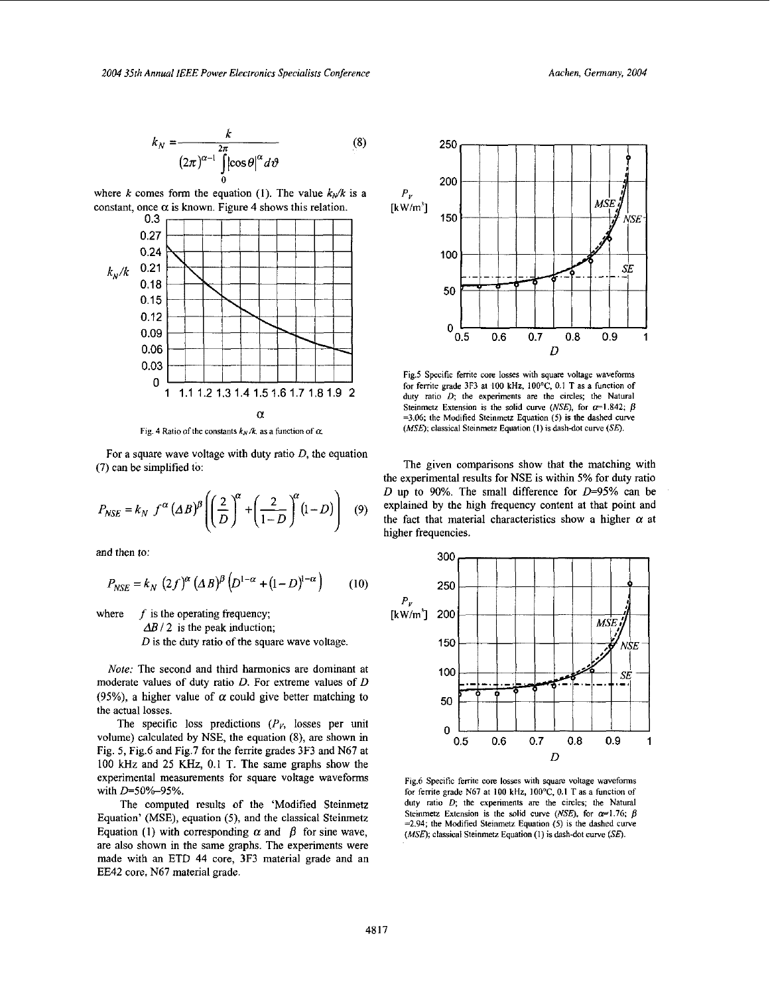$$
k_N = \frac{k}{(2\pi)^{\alpha - 1} \int_0^{2\pi} |\cos \theta|^\alpha d\vartheta}
$$
 (8)

where k comes form the equation (1). The value  $k_x/k$  is a constant, once  $\alpha$  is known. Figure 4 shows this relation.



Fig. 4 Ratio of the constants  $k_N/k$ , as a function of  $\alpha$ .

For a square wave voltage with duty ratio  $D$ , the equation (7) can be simplified to:

$$
P_{NSE} = k_N f^{\alpha} (\Delta B)^{\beta} \left( \left( \frac{2}{D} \right)^{\alpha} + \left( \frac{2}{1 - D} \right)^{\alpha} (1 - D) \right) \tag{9}
$$

and then *to:* 

$$
P_{NSE} = k_N (2f)^{\alpha} (\Delta B)^{\beta} (D^{1-\alpha} + (1-D)^{1-\alpha}) \qquad (10)
$$

where *f* is the operating frequency;

 $\Delta B$  / 2 is the peak induction;

*D* is the duty ratio of the square wave voltage

Note: The second and third harmonics are dominant at moderate values of duty ratio *D.* For extreme values of *D*  (95%), a higher value of  $\alpha$  could give better matching to the actual losses.

The specific loss predictions  $(P<sub>V</sub>)$ , losses per unit volume) calculated by NSE, the equation (8), are shown in Fig. *5,* Fig.6 and Fig.7 for the femte grades 3F3 and N67 at 100 **kHz** and 25 **KHz,** 0.1 T. The same graphs show the experimental measurements for square voltage waveforms with  $D=50\% - 95\%$ .

The computed results of the 'Modified Steinmetz Equation' (MSE), equation *(5),* and the classical Steinmetz Equation (1) with corresponding  $\alpha$  and  $\beta$  for sine wave, are also shown in the same graphs. The experiments were made with an ETD 44 core, 3F3 material grade and an EE42 core, N67 material grade.



**Fig.5 Specific ferrite** core **losses with quare voltage waveforms for ferrite grade 3F3 at** 100 **kHr, IOOT, 0.1 T as a function of**  duty ratio  $D$ ; the experiments are the circles; the Natural Steinmetz Extension is the solid curve (NSE), for  $\alpha$ =1.842;  $\beta$ **=3.06; the Modified Steinrnetz** Equation **(5) is the dashed** *curve (MSE)*; classical Steinmetz Equation (1) is dash-dot curve (SE).

The given comparisons show that the matching with the experimental results for NSE is within 5% for duty ratio *D* up to 90%. The small difference for *D=95%* can be explained by the high frequency content at that point and the fact that material characteristics show a higher  $\alpha$  at higher frequencies.



Figd **Specific ferrite core losses with square voltage waveforms for ferrite grade N67 at** 100 **kHz,** IOOT, 0.1 **T as a function** of duty ratio *D*; the experiments are the circles; the Natural **Steinmetz Extension is the solid curve** *(NSE)***, for**  $\alpha = 1.76$ **;** *B* **=2.94; the Modified Steinmetz Equation (5) is the dashed curve**  *(MSE)*; **classical Steinmetz Equation (1) is dash-dot curve (SE).**